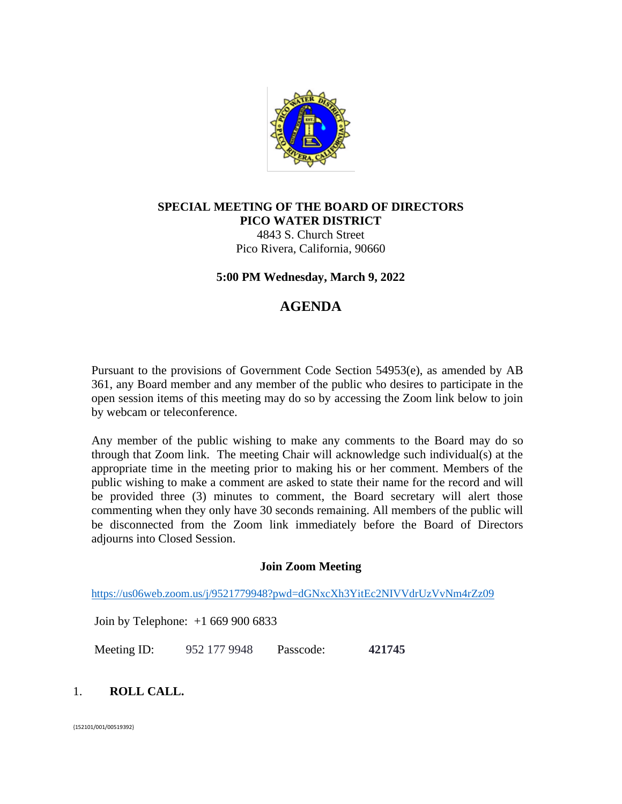

# **SPECIAL MEETING OF THE BOARD OF DIRECTORS PICO WATER DISTRICT**

4843 S. Church Street Pico Rivera, California, 90660

# **5:00 PM Wednesday, March 9, 2022**

# **AGENDA**

Pursuant to the provisions of Government Code Section 54953(e), as amended by AB 361, any Board member and any member of the public who desires to participate in the open session items of this meeting may do so by accessing the Zoom link below to join by webcam or teleconference.

Any member of the public wishing to make any comments to the Board may do so through that Zoom link. The meeting Chair will acknowledge such individual(s) at the appropriate time in the meeting prior to making his or her comment. Members of the public wishing to make a comment are asked to state their name for the record and will be provided three (3) minutes to comment, the Board secretary will alert those commenting when they only have 30 seconds remaining. All members of the public will be disconnected from the Zoom link immediately before the Board of Directors adjourns into Closed Session.

#### **Join Zoom Meeting**

<https://us06web.zoom.us/j/9521779948?pwd=dGNxcXh3YitEc2NIVVdrUzVvNm4rZz09>

Join by Telephone: +1 669 900 6833

Meeting ID: 952 177 9948 Passcode: **421745**

# 1. **ROLL CALL.**

{152101/001/00519392}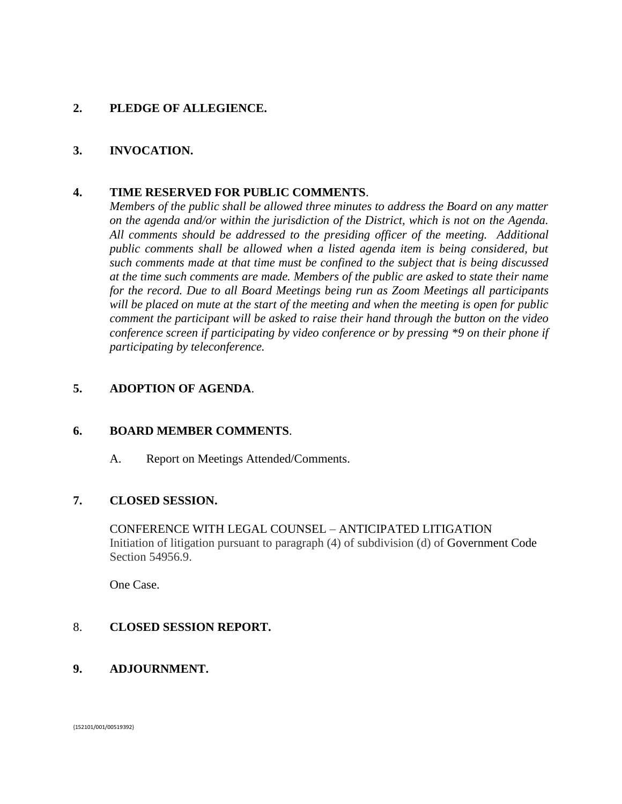# **2. PLEDGE OF ALLEGIENCE.**

# **3. INVOCATION.**

# **4. TIME RESERVED FOR PUBLIC COMMENTS**.

*Members of the public shall be allowed three minutes to address the Board on any matter on the agenda and/or within the jurisdiction of the District, which is not on the Agenda. All comments should be addressed to the presiding officer of the meeting. Additional public comments shall be allowed when a listed agenda item is being considered, but such comments made at that time must be confined to the subject that is being discussed at the time such comments are made. Members of the public are asked to state their name for the record. Due to all Board Meetings being run as Zoom Meetings all participants will be placed on mute at the start of the meeting and when the meeting is open for public comment the participant will be asked to raise their hand through the button on the video conference screen if participating by video conference or by pressing \*9 on their phone if participating by teleconference.* 

# **5. ADOPTION OF AGENDA**.

#### **6. BOARD MEMBER COMMENTS**.

A. Report on Meetings Attended/Comments.

#### **7. CLOSED SESSION.**

CONFERENCE WITH LEGAL COUNSEL – ANTICIPATED LITIGATION Initiation of litigation pursuant to paragraph (4) of subdivision (d) of Government Code Section 54956.9.

One Case.

#### 8. **CLOSED SESSION REPORT.**

#### **9. ADJOURNMENT.**